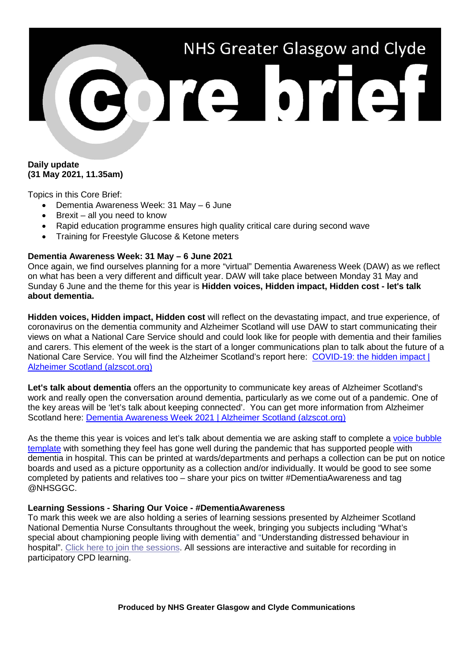# NHS Greater Glasgow and Clyde 301310131

# **Daily update (31 May 2021, 11.35am)**

Topics in this Core Brief:

- Dementia Awareness Week: 31 May 6 June
- Brexit all you need to know
- Rapid education programme ensures high quality critical care during second wave
- Training for Freestyle Glucose & Ketone meters

# **Dementia Awareness Week: 31 May – 6 June 2021**

Once again, we find ourselves planning for a more "virtual" Dementia Awareness Week (DAW) as we reflect on what has been a very different and difficult year. DAW will take place between Monday 31 May and Sunday 6 June and the theme for this year is **Hidden voices, Hidden impact, Hidden cost - let's talk about dementia.**

**Hidden voices, Hidden impact, Hidden cost** will reflect on the devastating impact, and true experience, of coronavirus on the dementia community and Alzheimer Scotland will use DAW to start communicating their views on what a National Care Service should and could look like for people with dementia and their families and carers. This element of the week is the start of a longer communications plan to talk about the future of a National Care Service. You will find the Alzheimer Scotland's report here: COVID-19: the hidden impact I [Alzheimer Scotland \(alzscot.org\)](https://www.alzscot.org/news/covid-19-the-hidden-impact)

**Let's talk about dementia** offers an the opportunity to communicate key areas of Alzheimer Scotland's work and really open the conversation around dementia, particularly as we come out of a pandemic. One of the key areas will be 'let's talk about keeping connected'. You can get more information from Alzheimer Scotland here: [Dementia Awareness Week 2021 | Alzheimer Scotland \(alzscot.org\)](https://www.alzscot.org/dementia-awareness-week-2021)

As the theme this year is voices and let's talk about dementia we are asking staff to complete a [voice bubble](https://www.nhsggc.org.uk/media/267156/dementia.pdf)  [template](https://www.nhsggc.org.uk/media/267156/dementia.pdf) with something they feel has gone well during the pandemic that has supported people with dementia in hospital. This can be printed at wards/departments and perhaps a collection can be put on notice boards and used as a picture opportunity as a collection and/or individually. It would be good to see some completed by patients and relatives too – share your pics on twitter #DementiaAwareness and tag @NHSGGC.

# **Learning Sessions - Sharing Our Voice - #DementiaAwareness**

To mark this week we are also holding a series of learning sessions presented by Alzheimer Scotland National Dementia Nurse Consultants throughout the week, bringing you subjects including "What's special about championing people living with dementia" and "Understanding distressed behaviour in hospital". [Click here to join the sessions.](https://teams.microsoft.com/l/meetup-join/19%3ameeting_ZTdlZmIyNGMtZjE0MS00NzM5LTgwNTMtYzE5NmExOGJiZWFj%40thread.v2/0?context=%7b%22Tid%22%3a%2210efe0bd-a030-4bca-809c-b5e6745e499a%22%2c%22Oid%22%3a%22d7a87250-9186-45ca-9890-761002a9d71d%22%7d) All sessions are interactive and suitable for recording in participatory CPD learning.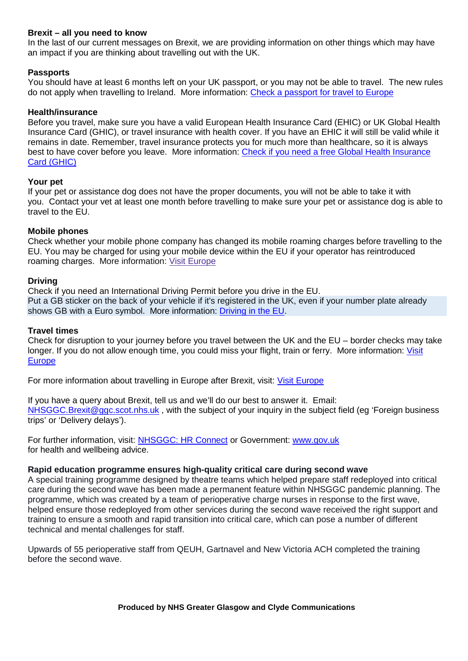# **Brexit – all you need to know**

In the last of our current messages on Brexit, we are providing information on other things which may have an impact if you are thinking about travelling out with the UK.

# **Passports**

You should have at least 6 months left on your UK passport, or you may not be able to travel. The new rules do not apply when travelling to Ireland. More information: [Check a passport for travel to Europe](https://www.gov.uk/check-a-passport-travel-europe)

# **Health/insurance**

Before you travel, make sure you have a valid European Health Insurance Card (EHIC) or UK Global Health Insurance Card (GHIC), or travel insurance with health cover. If you have an EHIC it will still be valid while it remains in date. Remember, travel insurance protects you for much more than healthcare, so it is always best to have cover before you leave. More information: [Check if you need a free Global Health Insurance](https://www.nhs.uk/using-the-nhs/healthcare-abroad/apply-for-a-free-uk-global-health-insurance-card-ghic/)  [Card \(GHIC\)](https://www.nhs.uk/using-the-nhs/healthcare-abroad/apply-for-a-free-uk-global-health-insurance-card-ghic/)

### **Your pet**

If your pet or assistance dog does not have the proper documents, you will not be able to take it with you. Contact your vet at least one month before travelling to make sure your pet or assistance dog is able to travel to the EU.

### **Mobile phones**

Check whether your mobile phone company has changed its mobile roaming charges before travelling to the EU. You may be charged for using your mobile device within the EU if your operator has reintroduced roaming charges. More information: Visit [Europe](https://www.gov.uk/visit-europe-1-january-2021)

# **Driving**

Check if you need an International Driving Permit before you drive in the EU. Put a GB sticker on the back of your vehicle if it's registered in the UK, even if your number plate already shows GB with a Euro symbol. More information: [Driving in the EU.](https://www.gov.uk/guidance/driving-in-the-eu)

## **Travel times**

Check for disruption to your journey before you travel between the UK and the EU – border checks may take longer. If you do not allow enough time, you could miss your flight, train or ferry. More information: [Visit](https://www.gov.uk/visit-europe-1-january-2021)  [Europe](https://www.gov.uk/visit-europe-1-january-2021)

For more information about travelling in Europe after Brexit, visit: [Visit Europe](https://www.gov.uk/visit-europe-1-january-2021)

If you have a query about Brexit, tell us and we'll do our best to answer it. Email: [NHSGGC.Brexit@ggc.scot.nhs.uk](mailto:NHSGGC.Brexit@ggc.scot.nhs.uk) , with the subject of your inquiry in the subject field (eg 'Foreign business trips' or 'Delivery delays').

For further information, visit: [NHSGGC: HR Connect](https://www.nhsggc.org.uk/working-with-us/hr-connect/brexit-information-for-managers-staff/) or Government: [www.gov.uk](file://xggc-fsrv-01/shares/Communications/Corporate%20Communications/Internal%20Comms/Briefs/2021/Core%20Brief/www.gov.uk%20) for health and wellbeing advice.

### **Rapid education programme ensures high-quality critical care during second wave**

A special training programme designed by theatre teams which helped prepare staff redeployed into critical care during the second wave has been made a permanent feature within NHSGGC pandemic planning. The programme, which was created by a team of perioperative charge nurses in response to the first wave, helped ensure those redeployed from other services during the second wave received the right support and training to ensure a smooth and rapid transition into critical care, which can pose a number of different technical and mental challenges for staff.

Upwards of 55 perioperative staff from QEUH, Gartnavel and New Victoria ACH completed the training before the second wave.